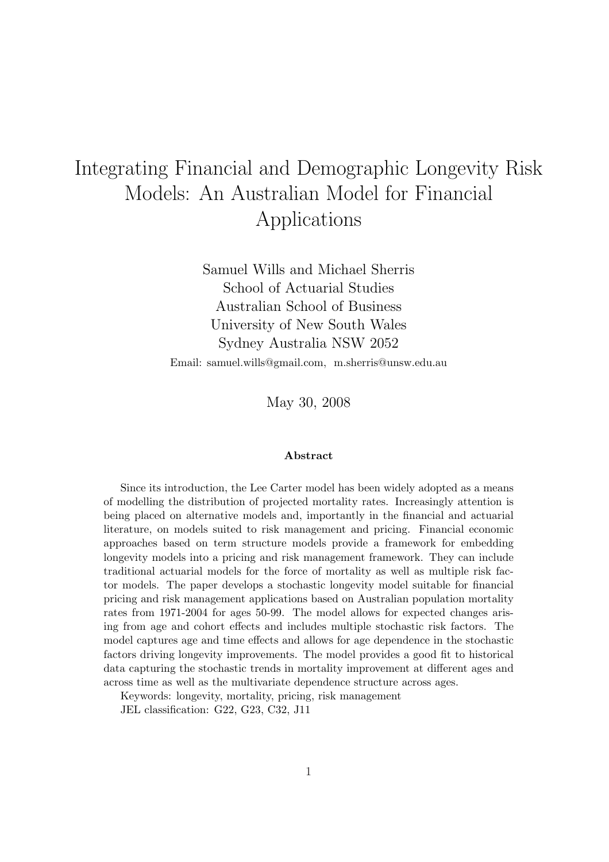# Integrating Financial and Demographic Longevity Risk Models: An Australian Model for Financial Applications

Samuel Wills and Michael Sherris School of Actuarial Studies Australian School of Business University of New South Wales Sydney Australia NSW 2052

Email: samuel.wills@gmail.com, m.sherris@unsw.edu.au

May 30, 2008

#### Abstract

Since its introduction, the Lee Carter model has been widely adopted as a means of modelling the distribution of projected mortality rates. Increasingly attention is being placed on alternative models and, importantly in the financial and actuarial literature, on models suited to risk management and pricing. Financial economic approaches based on term structure models provide a framework for embedding longevity models into a pricing and risk management framework. They can include traditional actuarial models for the force of mortality as well as multiple risk factor models. The paper develops a stochastic longevity model suitable for financial pricing and risk management applications based on Australian population mortality rates from 1971-2004 for ages 50-99. The model allows for expected changes arising from age and cohort effects and includes multiple stochastic risk factors. The model captures age and time effects and allows for age dependence in the stochastic factors driving longevity improvements. The model provides a good fit to historical data capturing the stochastic trends in mortality improvement at different ages and across time as well as the multivariate dependence structure across ages.

Keywords: longevity, mortality, pricing, risk management

JEL classification: G22, G23, C32, J11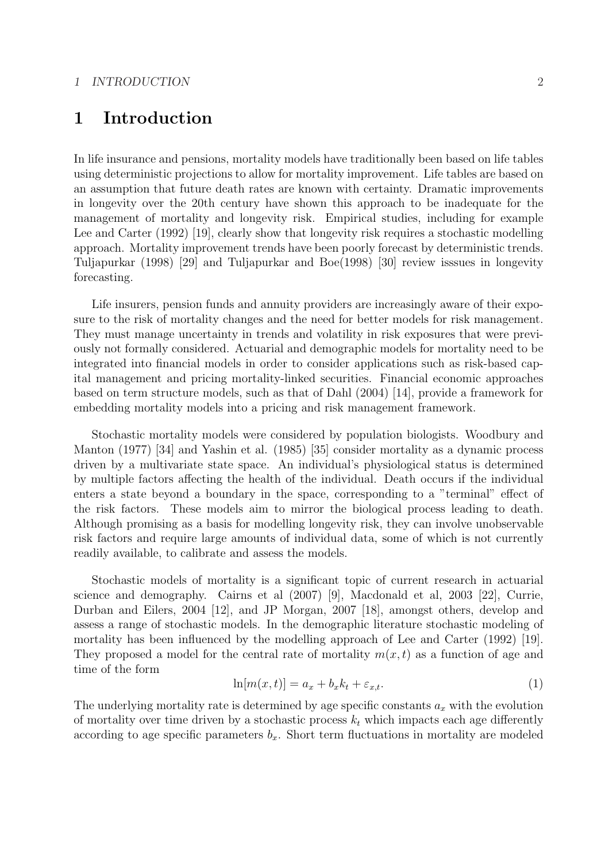## 1 Introduction

In life insurance and pensions, mortality models have traditionally been based on life tables using deterministic projections to allow for mortality improvement. Life tables are based on an assumption that future death rates are known with certainty. Dramatic improvements in longevity over the 20th century have shown this approach to be inadequate for the management of mortality and longevity risk. Empirical studies, including for example Lee and Carter (1992) [19], clearly show that longevity risk requires a stochastic modelling approach. Mortality improvement trends have been poorly forecast by deterministic trends. Tuljapurkar (1998) [29] and Tuljapurkar and Boe(1998) [30] review isssues in longevity forecasting.

Life insurers, pension funds and annuity providers are increasingly aware of their exposure to the risk of mortality changes and the need for better models for risk management. They must manage uncertainty in trends and volatility in risk exposures that were previously not formally considered. Actuarial and demographic models for mortality need to be integrated into financial models in order to consider applications such as risk-based capital management and pricing mortality-linked securities. Financial economic approaches based on term structure models, such as that of Dahl (2004) [14], provide a framework for embedding mortality models into a pricing and risk management framework.

Stochastic mortality models were considered by population biologists. Woodbury and Manton (1977) [34] and Yashin et al. (1985) [35] consider mortality as a dynamic process driven by a multivariate state space. An individual's physiological status is determined by multiple factors affecting the health of the individual. Death occurs if the individual enters a state beyond a boundary in the space, corresponding to a "terminal" effect of the risk factors. These models aim to mirror the biological process leading to death. Although promising as a basis for modelling longevity risk, they can involve unobservable risk factors and require large amounts of individual data, some of which is not currently readily available, to calibrate and assess the models.

Stochastic models of mortality is a significant topic of current research in actuarial science and demography. Cairns et al (2007) [9], Macdonald et al, 2003 [22], Currie, Durban and Eilers, 2004 [12], and JP Morgan, 2007 [18], amongst others, develop and assess a range of stochastic models. In the demographic literature stochastic modeling of mortality has been influenced by the modelling approach of Lee and Carter (1992) [19]. They proposed a model for the central rate of mortality  $m(x, t)$  as a function of age and time of the form

$$
\ln[m(x,t)] = a_x + b_x k_t + \varepsilon_{x,t}.\tag{1}
$$

The underlying mortality rate is determined by age specific constants  $a_x$  with the evolution of mortality over time driven by a stochastic process  $k_t$  which impacts each age differently according to age specific parameters  $b_x$ . Short term fluctuations in mortality are modeled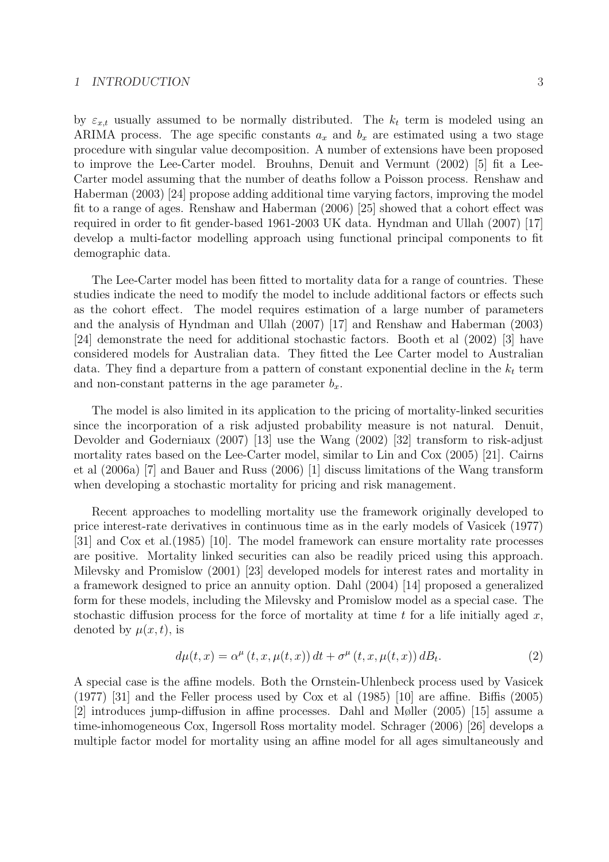#### 1 INTRODUCTION 3

by  $\varepsilon_{x,t}$  usually assumed to be normally distributed. The  $k_t$  term is modeled using an ARIMA process. The age specific constants  $a_x$  and  $b_x$  are estimated using a two stage procedure with singular value decomposition. A number of extensions have been proposed to improve the Lee-Carter model. Brouhns, Denuit and Vermunt (2002) [5] fit a Lee-Carter model assuming that the number of deaths follow a Poisson process. Renshaw and

Haberman (2003) [24] propose adding additional time varying factors, improving the model fit to a range of ages. Renshaw and Haberman (2006) [25] showed that a cohort effect was required in order to fit gender-based 1961-2003 UK data. Hyndman and Ullah (2007) [17] develop a multi-factor modelling approach using functional principal components to fit demographic data.

The Lee-Carter model has been fitted to mortality data for a range of countries. These studies indicate the need to modify the model to include additional factors or effects such as the cohort effect. The model requires estimation of a large number of parameters and the analysis of Hyndman and Ullah (2007) [17] and Renshaw and Haberman (2003) [24] demonstrate the need for additional stochastic factors. Booth et al (2002) [3] have considered models for Australian data. They fitted the Lee Carter model to Australian data. They find a departure from a pattern of constant exponential decline in the  $k_t$  term and non-constant patterns in the age parameter  $b_x$ .

The model is also limited in its application to the pricing of mortality-linked securities since the incorporation of a risk adjusted probability measure is not natural. Denuit, Devolder and Goderniaux (2007) [13] use the Wang (2002) [32] transform to risk-adjust mortality rates based on the Lee-Carter model, similar to Lin and Cox (2005) [21]. Cairns et al (2006a) [7] and Bauer and Russ (2006) [1] discuss limitations of the Wang transform when developing a stochastic mortality for pricing and risk management.

Recent approaches to modelling mortality use the framework originally developed to price interest-rate derivatives in continuous time as in the early models of Vasicek (1977) [31] and Cox et al.(1985) [10]. The model framework can ensure mortality rate processes are positive. Mortality linked securities can also be readily priced using this approach. Milevsky and Promislow (2001) [23] developed models for interest rates and mortality in a framework designed to price an annuity option. Dahl (2004) [14] proposed a generalized form for these models, including the Milevsky and Promislow model as a special case. The stochastic diffusion process for the force of mortality at time t for a life initially aged  $x$ , denoted by  $\mu(x, t)$ , is

$$
d\mu(t,x) = \alpha^{\mu}(t,x,\mu(t,x))dt + \sigma^{\mu}(t,x,\mu(t,x))dB_t.
$$
 (2)

A special case is the affine models. Both the Ornstein-Uhlenbeck process used by Vasicek (1977) [31] and the Feller process used by Cox et al (1985) [10] are affine. Biffis (2005) [2] introduces jump-diffusion in affine processes. Dahl and Møller (2005) [15] assume a time-inhomogeneous Cox, Ingersoll Ross mortality model. Schrager (2006) [26] develops a multiple factor model for mortality using an affine model for all ages simultaneously and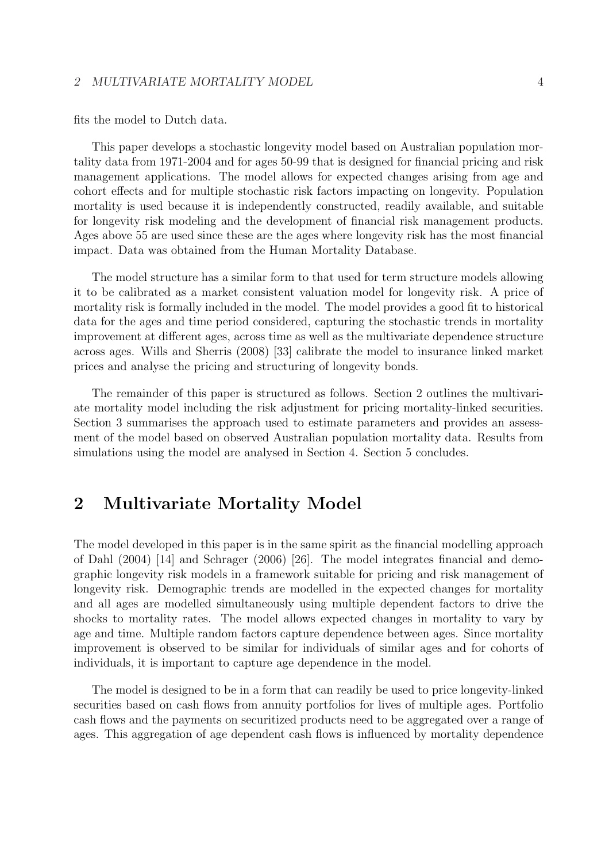#### 2 MULTIVARIATE MORTALITY MODEL 4

fits the model to Dutch data.

This paper develops a stochastic longevity model based on Australian population mortality data from 1971-2004 and for ages 50-99 that is designed for financial pricing and risk management applications. The model allows for expected changes arising from age and cohort effects and for multiple stochastic risk factors impacting on longevity. Population mortality is used because it is independently constructed, readily available, and suitable for longevity risk modeling and the development of financial risk management products. Ages above 55 are used since these are the ages where longevity risk has the most financial impact. Data was obtained from the Human Mortality Database.

The model structure has a similar form to that used for term structure models allowing it to be calibrated as a market consistent valuation model for longevity risk. A price of mortality risk is formally included in the model. The model provides a good fit to historical data for the ages and time period considered, capturing the stochastic trends in mortality improvement at different ages, across time as well as the multivariate dependence structure across ages. Wills and Sherris (2008) [33] calibrate the model to insurance linked market prices and analyse the pricing and structuring of longevity bonds.

The remainder of this paper is structured as follows. Section 2 outlines the multivariate mortality model including the risk adjustment for pricing mortality-linked securities. Section 3 summarises the approach used to estimate parameters and provides an assessment of the model based on observed Australian population mortality data. Results from simulations using the model are analysed in Section 4. Section 5 concludes.

# 2 Multivariate Mortality Model

The model developed in this paper is in the same spirit as the financial modelling approach of Dahl (2004) [14] and Schrager (2006) [26]. The model integrates financial and demographic longevity risk models in a framework suitable for pricing and risk management of longevity risk. Demographic trends are modelled in the expected changes for mortality and all ages are modelled simultaneously using multiple dependent factors to drive the shocks to mortality rates. The model allows expected changes in mortality to vary by age and time. Multiple random factors capture dependence between ages. Since mortality improvement is observed to be similar for individuals of similar ages and for cohorts of individuals, it is important to capture age dependence in the model.

The model is designed to be in a form that can readily be used to price longevity-linked securities based on cash flows from annuity portfolios for lives of multiple ages. Portfolio cash flows and the payments on securitized products need to be aggregated over a range of ages. This aggregation of age dependent cash flows is influenced by mortality dependence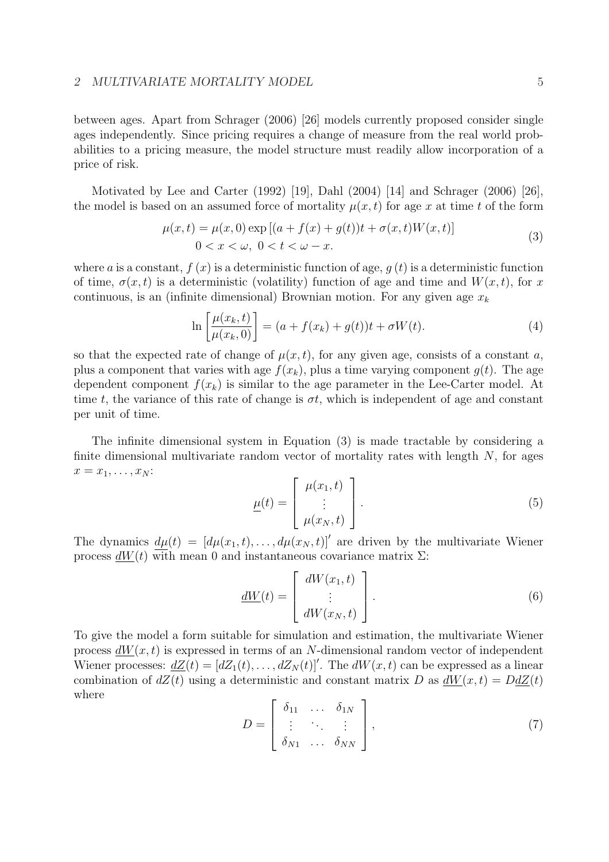between ages. Apart from Schrager (2006) [26] models currently proposed consider single ages independently. Since pricing requires a change of measure from the real world probabilities to a pricing measure, the model structure must readily allow incorporation of a price of risk.

Motivated by Lee and Carter (1992) [19], Dahl (2004) [14] and Schrager (2006) [26], the model is based on an assumed force of mortality  $\mu(x, t)$  for age x at time t of the form

$$
\mu(x,t) = \mu(x,0) \exp[(a+f(x)+g(t))t + \sigma(x,t)W(x,t)]
$$
  
0 < x < \omega, 0 < t < \omega - x. (3)

where a is a constant,  $f(x)$  is a deterministic function of age,  $q(t)$  is a deterministic function of time,  $\sigma(x, t)$  is a deterministic (volatility) function of age and time and  $W(x, t)$ , for x continuous, is an (infinite dimensional) Brownian motion. For any given age  $x_k$ 

$$
\ln\left[\frac{\mu(x_k, t)}{\mu(x_k, 0)}\right] = (a + f(x_k) + g(t))t + \sigma W(t).
$$
\n(4)

so that the expected rate of change of  $\mu(x, t)$ , for any given age, consists of a constant a, plus a component that varies with age  $f(x_k)$ , plus a time varying component  $q(t)$ . The age dependent component  $f(x_k)$  is similar to the age parameter in the Lee-Carter model. At time t, the variance of this rate of change is  $\sigma t$ , which is independent of age and constant per unit of time.

The infinite dimensional system in Equation (3) is made tractable by considering a finite dimensional multivariate random vector of mortality rates with length  $N$ , for ages  $x = x_1, \ldots, x_N$ :  $\overline{a}$  $\overline{a}$ 

$$
\underline{\mu}(t) = \begin{bmatrix} \mu(x_1, t) \\ \vdots \\ \mu(x_N, t) \end{bmatrix} . \tag{5}
$$

The dynamics  $d\mu(t) = [d\mu(x_1, t), \dots, d\mu(x_N, t)]'$  are driven by the multivariate Wiener process  $dW(t)$  with mean 0 and instantaneous covariance matrix  $\Sigma$ :

$$
\underline{dW}(t) = \begin{bmatrix} dW(x_1, t) \\ \vdots \\ dW(x_N, t) \end{bmatrix} . \tag{6}
$$

To give the model a form suitable for simulation and estimation, the multivariate Wiener process  $dW(x, t)$  is expressed in terms of an N-dimensional random vector of independent Wiener processes:  $dZ(t) = [dZ_1(t), \ldots, dZ_N(t)]'$ . The  $dW(x, t)$  can be expressed as a linear combination of  $dZ(t)$  using a deterministic and constant matrix D as  $dW(x, t) = DdZ(t)$ where  $\overline{r}$  $\overline{a}$ 

$$
D = \begin{bmatrix} \delta_{11} & \dots & \delta_{1N} \\ \vdots & \ddots & \vdots \\ \delta_{N1} & \dots & \delta_{NN} \end{bmatrix},
$$
 (7)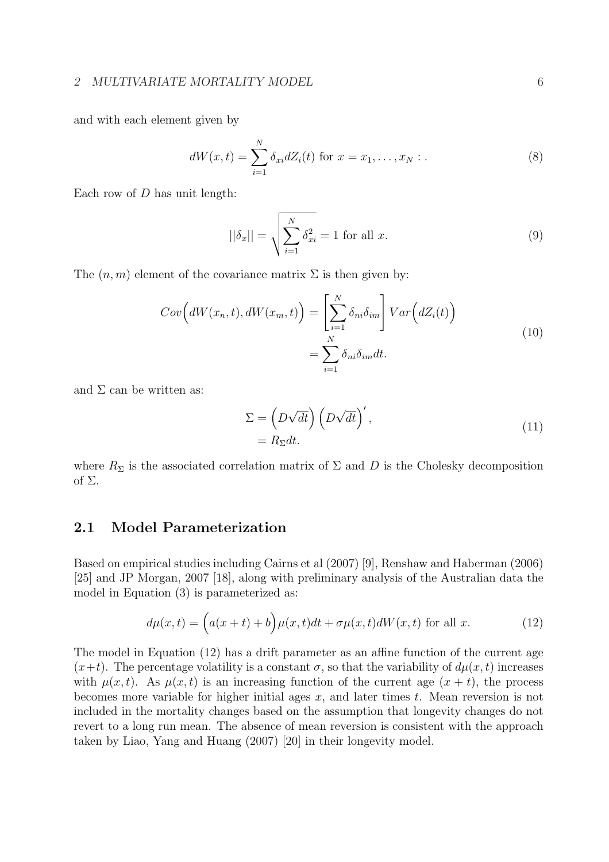#### 2 MULTIVARIATE MORTALITY MODEL 6

and with each element given by

$$
dW(x,t) = \sum_{i=1}^{N} \delta_{xi} dZ_i(t) \text{ for } x = x_1, ..., x_N : .
$$
 (8)

Each row of  $D$  has unit length:

$$
||\delta_x|| = \sqrt{\sum_{i=1}^N \delta_{xi}^2} = 1 \text{ for all } x.
$$
 (9)

The  $(n, m)$  element of the covariance matrix  $\Sigma$  is then given by:

$$
Cov\left(dW(x_n, t), dW(x_m, t)\right) = \left[\sum_{i=1}^N \delta_{ni}\delta_{im}\right] Var\left(dZ_i(t)\right)
$$

$$
= \sum_{i=1}^N \delta_{ni}\delta_{im}dt.
$$
 (10)

and  $\Sigma$  can be written as:

$$
\Sigma = \left(D\sqrt{dt}\right) \left(D\sqrt{dt}\right)',
$$
  
=  $R_{\Sigma}dt.$  (11)

where  $R_{\Sigma}$  is the associated correlation matrix of  $\Sigma$  and  $D$  is the Cholesky decomposition of  $\Sigma$ .

### 2.1 Model Parameterization

Based on empirical studies including Cairns et al (2007) [9], Renshaw and Haberman (2006) [25] and JP Morgan, 2007 [18], along with preliminary analysis of the Australian data the model in Equation (3) is parameterized as:

$$
d\mu(x,t) = (a(x+t) + b)\mu(x,t)dt + \sigma\mu(x,t)dW(x,t)
$$
 for all x. (12)

The model in Equation (12) has a drift parameter as an affine function of the current age  $(x+t)$ . The percentage volatility is a constant  $\sigma$ , so that the variability of  $d\mu(x, t)$  increases with  $\mu(x, t)$ . As  $\mu(x, t)$  is an increasing function of the current age  $(x + t)$ , the process becomes more variable for higher initial ages  $x$ , and later times  $t$ . Mean reversion is not included in the mortality changes based on the assumption that longevity changes do not revert to a long run mean. The absence of mean reversion is consistent with the approach taken by Liao, Yang and Huang (2007) [20] in their longevity model.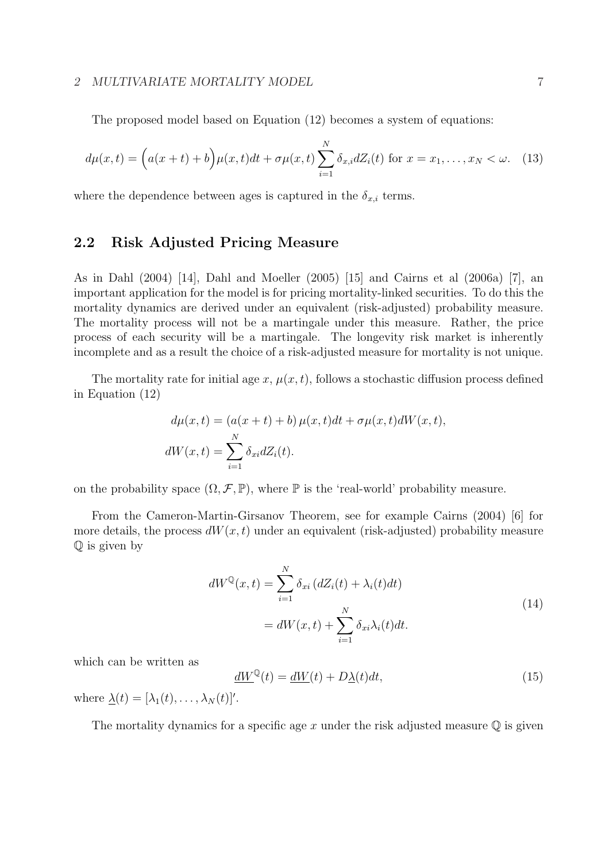#### 2 MULTIVARIATE MORTALITY MODEL 7 7

The proposed model based on Equation (12) becomes a system of equations:

$$
d\mu(x,t) = \left(a(x+t) + b\right)\mu(x,t)dt + \sigma\mu(x,t)\sum_{i=1}^{N} \delta_{x,i}dZ_i(t) \text{ for } x = x_1,\dots, x_N < \omega. \tag{13}
$$

where the dependence between ages is captured in the  $\delta_{x,i}$  terms.

### 2.2 Risk Adjusted Pricing Measure

As in Dahl (2004) [14], Dahl and Moeller (2005) [15] and Cairns et al (2006a) [7], an important application for the model is for pricing mortality-linked securities. To do this the mortality dynamics are derived under an equivalent (risk-adjusted) probability measure. The mortality process will not be a martingale under this measure. Rather, the price process of each security will be a martingale. The longevity risk market is inherently incomplete and as a result the choice of a risk-adjusted measure for mortality is not unique.

The mortality rate for initial age x,  $\mu(x, t)$ , follows a stochastic diffusion process defined in Equation (12)

$$
d\mu(x,t) = (a(x+t) + b)\,\mu(x,t)dt + \sigma\mu(x,t)dW(x,t),
$$
  

$$
dW(x,t) = \sum_{i=1}^{N} \delta_{xi} dZ_i(t).
$$

on the probability space  $(\Omega, \mathcal{F}, \mathbb{P})$ , where  $\mathbb P$  is the 'real-world' probability measure.

From the Cameron-Martin-Girsanov Theorem, see for example Cairns (2004) [6] for more details, the process  $dW(x, t)$  under an equivalent (risk-adjusted) probability measure Q is given by

$$
dW^{\mathbb{Q}}(x,t) = \sum_{i=1}^{N} \delta_{xi} (dZ_i(t) + \lambda_i(t)dt)
$$
  
= 
$$
dW(x,t) + \sum_{i=1}^{N} \delta_{xi} \lambda_i(t)dt.
$$
 (14)

which can be written as

$$
\underline{dW}^{\mathbb{Q}}(t) = \underline{dW}(t) + D\underline{\lambda}(t)dt,\tag{15}
$$

where  $\underline{\lambda}(t) = [\lambda_1(t), \ldots, \lambda_N(t)]'.$ 

The mortality dynamics for a specific age x under the risk adjusted measure  $\mathbb Q$  is given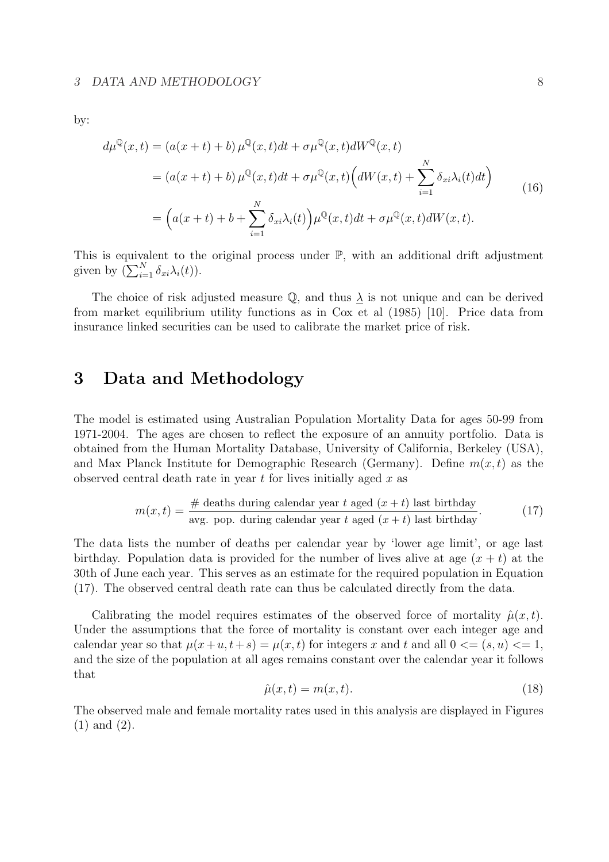by:

$$
d\mu^{\mathbb{Q}}(x,t) = (a(x+t)+b)\,\mu^{\mathbb{Q}}(x,t)dt + \sigma\mu^{\mathbb{Q}}(x,t)dW^{\mathbb{Q}}(x,t)
$$
  
=  $(a(x+t)+b)\,\mu^{\mathbb{Q}}(x,t)dt + \sigma\mu^{\mathbb{Q}}(x,t)\Big(dW(x,t) + \sum_{i=1}^{N} \delta_{xi}\lambda_i(t)dt\Big)$   
=  $\Big(a(x+t)+b+\sum_{i=1}^{N} \delta_{xi}\lambda_i(t)\Big)\mu^{\mathbb{Q}}(x,t)dt + \sigma\mu^{\mathbb{Q}}(x,t)dW(x,t).$  (16)

This is equivalent to the original process under  $\mathbb{P}$ , with an additional drift adjustment This is equivalent to the given by  $(\sum_{i=1}^N \delta_{xi} \lambda_i(t)).$ 

The choice of risk adjusted measure  $\mathbb Q$ , and thus  $\lambda$  is not unique and can be derived from market equilibrium utility functions as in Cox et al (1985) [10]. Price data from insurance linked securities can be used to calibrate the market price of risk.

# 3 Data and Methodology

The model is estimated using Australian Population Mortality Data for ages 50-99 from 1971-2004. The ages are chosen to reflect the exposure of an annuity portfolio. Data is obtained from the Human Mortality Database, University of California, Berkeley (USA), and Max Planck Institute for Demographic Research (Germany). Define  $m(x, t)$  as the observed central death rate in year  $t$  for lives initially aged  $x$  as

$$
m(x,t) = \frac{\text{\# deaths during calendar year } t \text{ aged } (x+t) \text{ last birthday}}{\text{avg. pop. during calendar year } t \text{ aged } (x+t) \text{ last birthday}}.
$$
 (17)

The data lists the number of deaths per calendar year by 'lower age limit', or age last birthday. Population data is provided for the number of lives alive at age  $(x + t)$  at the 30th of June each year. This serves as an estimate for the required population in Equation (17). The observed central death rate can thus be calculated directly from the data.

Calibrating the model requires estimates of the observed force of mortality  $\hat{\mu}(x, t)$ . Under the assumptions that the force of mortality is constant over each integer age and calendar year so that  $\mu(x+u, t+s) = \mu(x, t)$  for integers x and t and all  $0 \leq s \leq (s, u) \leq 1$ , and the size of the population at all ages remains constant over the calendar year it follows that

$$
\hat{\mu}(x,t) = m(x,t). \tag{18}
$$

The observed male and female mortality rates used in this analysis are displayed in Figures (1) and (2).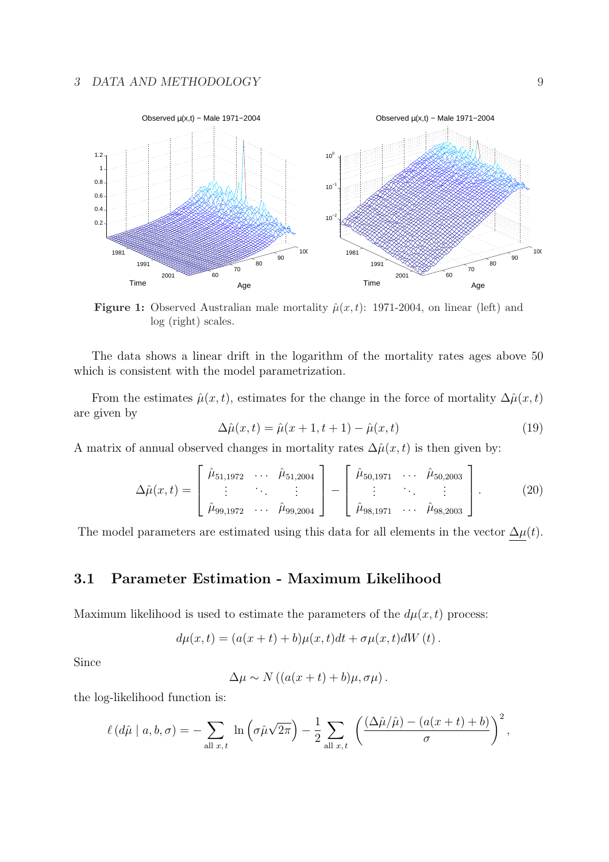#### 3 DATA AND METHODOLOGY 9



Figure 1: Observed Australian male mortality  $\hat{\mu}(x,t)$ : 1971-2004, on linear (left) and log (right) scales.

The data shows a linear drift in the logarithm of the mortality rates ages above 50 which is consistent with the model parametrization.

From the estimates  $\hat{\mu}(x, t)$ , estimates for the change in the force of mortality  $\Delta \hat{\mu}(x, t)$ are given by

$$
\Delta \hat{\mu}(x, t) = \hat{\mu}(x + 1, t + 1) - \hat{\mu}(x, t)
$$
\n(19)

A matrix of annual observed changes in mortality rates  $\Delta \hat{\mu}(x, t)$  is then given by:

$$
\Delta \hat{\mu}(x,t) = \begin{bmatrix} \hat{\mu}_{51,1972} & \cdots & \hat{\mu}_{51,2004} \\ \vdots & \ddots & \vdots \\ \hat{\mu}_{99,1972} & \cdots & \hat{\mu}_{99,2004} \end{bmatrix} - \begin{bmatrix} \hat{\mu}_{50,1971} & \cdots & \hat{\mu}_{50,2003} \\ \vdots & \ddots & \vdots \\ \hat{\mu}_{98,1971} & \cdots & \hat{\mu}_{98,2003} \end{bmatrix} .
$$
 (20)

The model parameters are estimated using this data for all elements in the vector  $\Delta \mu(t)$ .

### 3.1 Parameter Estimation - Maximum Likelihood

Maximum likelihood is used to estimate the parameters of the  $d\mu(x, t)$  process:

$$
d\mu(x,t) = (a(x+t) + b)\mu(x,t)dt + \sigma\mu(x,t)dW(t).
$$

Since

 $\Delta \mu \sim N((a(x+t)+b)\mu, \sigma \mu).$ 

the log-likelihood function is:

$$
\ell(d\hat{\mu} \mid a, b, \sigma) = -\sum_{\text{all } x, t} \ln \left( \sigma \hat{\mu} \sqrt{2\pi} \right) - \frac{1}{2} \sum_{\text{all } x, t} \left( \frac{(\Delta \hat{\mu} / \hat{\mu}) - (a(x + t) + b)}{\sigma} \right)^2,
$$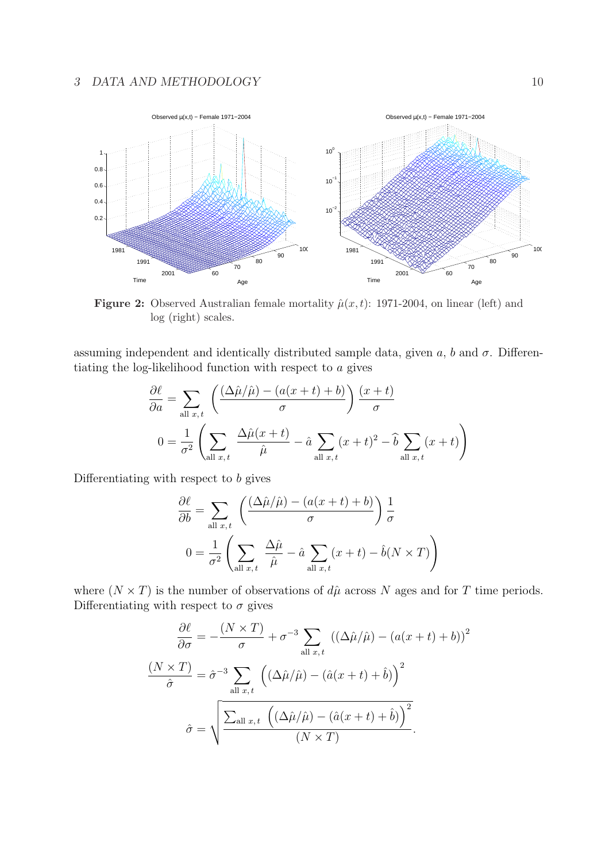### 3 DATA AND METHODOLOGY 10



Figure 2: Observed Australian female mortality  $\hat{\mu}(x,t)$ : 1971-2004, on linear (left) and log (right) scales.

assuming independent and identically distributed sample data, given a, b and  $\sigma$ . Differentiating the log-likelihood function with respect to a gives

$$
\frac{\partial \ell}{\partial a} = \sum_{\text{all } x, t} \left( \frac{(\Delta \hat{\mu} / \hat{\mu}) - (a(x+t) + b)}{\sigma} \right) \frac{(x+t)}{\sigma}
$$

$$
0 = \frac{1}{\sigma^2} \left( \sum_{\text{all } x, t} \frac{\Delta \hat{\mu} (x+t)}{\hat{\mu}} - \hat{a} \sum_{\text{all } x, t} (x+t)^2 - \hat{b} \sum_{\text{all } x, t} (x+t) \right)
$$

Differentiating with respect to b gives

$$
\frac{\partial \ell}{\partial b} = \sum_{\text{all } x, t} \left( \frac{(\Delta \hat{\mu} / \hat{\mu}) - (a(x + t) + b)}{\sigma} \right) \frac{1}{\sigma}
$$

$$
0 = \frac{1}{\sigma^2} \left( \sum_{\text{all } x, t} \frac{\Delta \hat{\mu}}{\hat{\mu}} - \hat{a} \sum_{\text{all } x, t} (x + t) - \hat{b}(N \times T) \right)
$$

where  $(N \times T)$  is the number of observations of  $d\hat{\mu}$  across N ages and for T time periods. Differentiating with respect to  $\sigma$  gives

$$
\frac{\partial \ell}{\partial \sigma} = -\frac{(N \times T)}{\sigma} + \sigma^{-3} \sum_{\text{all } x, t} ((\Delta \hat{\mu}/\hat{\mu}) - (a(x+t) + b))^2
$$

$$
\frac{(N \times T)}{\hat{\sigma}} = \hat{\sigma}^{-3} \sum_{\text{all } x, t} \left( (\Delta \hat{\mu}/\hat{\mu}) - (\hat{a}(x+t) + \hat{b}) \right)^2
$$

$$
\hat{\sigma} = \sqrt{\frac{\sum_{\text{all } x, t} \left( (\Delta \hat{\mu}/\hat{\mu}) - (\hat{a}(x+t) + \hat{b}) \right)^2}{(N \times T)}}.
$$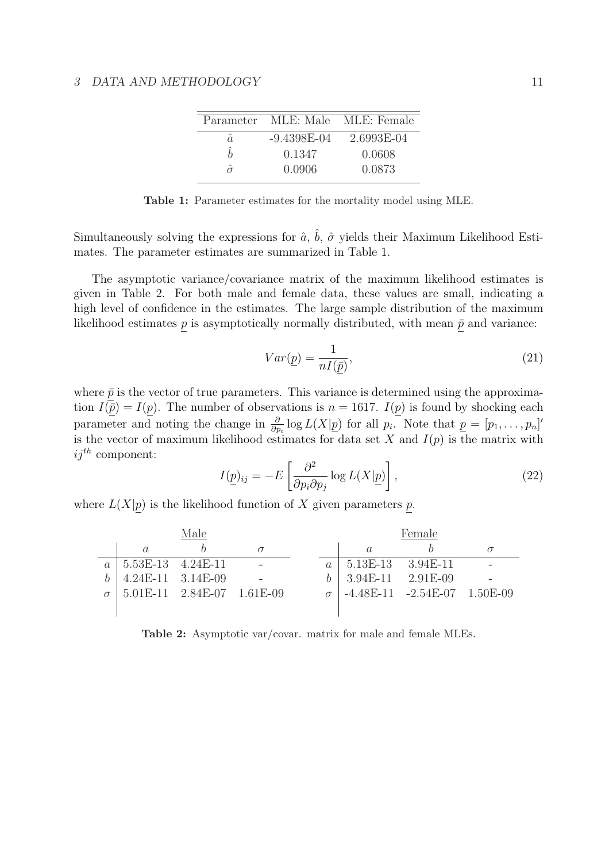|    |               | Parameter MLE: Male MLE: Female |
|----|---------------|---------------------------------|
| â. | $-9.4398E-04$ | 2.6993E-04                      |
| ς  | 0.1347        | 0.0608                          |
| ⌒  | 0.0906        | 0.0873                          |

Table 1: Parameter estimates for the mortality model using MLE.

Simultaneously solving the expressions for  $\hat{a}$ ,  $\hat{b}$ ,  $\hat{\sigma}$  yields their Maximum Likelihood Estimates. The parameter estimates are summarized in Table 1.

The asymptotic variance/covariance matrix of the maximum likelihood estimates is given in Table 2. For both male and female data, these values are small, indicating a high level of confidence in the estimates. The large sample distribution of the maximum likelihood estimates  $p$  is asymptotically normally distributed, with mean  $\bar{p}$  and variance:

$$
Var(\underline{p}) = \frac{1}{nI(\bar{p})},\tag{21}
$$

where  $\bar{p}$  is the vector of true parameters. This variance is determined using the approximation  $I(\bar{p}) = I(p)$ . The number of observations is  $n = 1617$ .  $I(p)$  is found by shocking each parameter and noting the change in  $\frac{\partial}{\partial p_i} \log L(X|\underline{p})$  for all  $p_i$ . Note that  $\underline{p} = [p_1, \ldots, p_n]'$ is the vector of maximum likelihood estimates for data set X and  $I(p)$  is the matrix with  $ij^{th}$  component: ·  $\overline{a}$ 

$$
I(\underline{p})_{ij} = -E\left[\frac{\partial^2}{\partial p_i \partial p_j} \log L(X|\underline{p})\right],\tag{22}
$$

where  $L(X|p)$  is the likelihood function of X given parameters p.

|                                  | Male                             |  |                         | Female                         |  |
|----------------------------------|----------------------------------|--|-------------------------|--------------------------------|--|
|                                  |                                  |  | $\alpha$                |                                |  |
| $a \mid 5.53E-13 \quad 4.24E-11$ |                                  |  | $a$   5.13E-13 3.94E-11 |                                |  |
| $4.24E-11$ $3.14E-09$            |                                  |  | $b$   3.94E-11 2.91E-09 |                                |  |
|                                  | $5.01E-11$ $2.84E-07$ $1.61E-09$ |  |                         | $-4.48E-11 -2.54E-07$ 1.50E-09 |  |
|                                  |                                  |  |                         |                                |  |

Table 2: Asymptotic var/covar. matrix for male and female MLEs.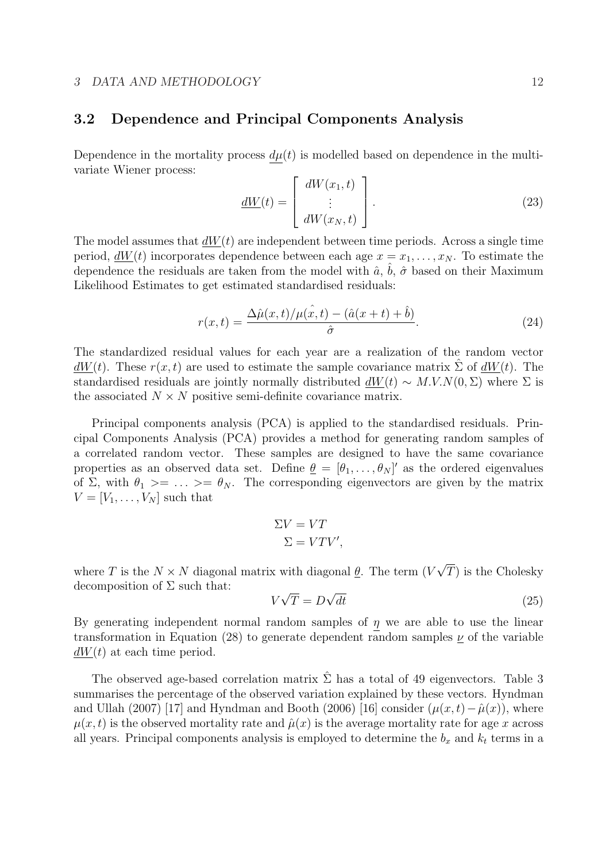### 3.2 Dependence and Principal Components Analysis

Dependence in the mortality process  $d\mu(t)$  is modelled based on dependence in the multivariate Wiener process:  $\overline{r}$  $\overline{a}$ 

$$
\underline{dW}(t) = \begin{bmatrix} dW(x_1, t) \\ \vdots \\ dW(x_N, t) \end{bmatrix} . \tag{23}
$$

The model assumes that  $dW(t)$  are independent between time periods. Across a single time period,  $dW(t)$  incorporates dependence between each age  $x = x_1, \ldots, x_N$ . To estimate the dependence the residuals are taken from the model with  $\hat{a}$ ,  $\hat{b}$ ,  $\hat{\sigma}$  based on their Maximum Likelihood Estimates to get estimated standardised residuals:

$$
r(x,t) = \frac{\Delta \hat{\mu}(x,t)/\mu(\hat{x},t) - (\hat{a}(x+t) + \hat{b})}{\hat{\sigma}}.
$$
\n(24)

The standardized residual values for each year are a realization of the random vector  $dW(t)$ . These  $r(x, t)$  are used to estimate the sample covariance matrix  $\Sigma$  of  $dW(t)$ . The standardised residuals are jointly normally distributed  $dW(t) \sim M.V.N(0, \Sigma)$  where  $\Sigma$  is the associated  $N \times N$  positive semi-definite covariance matrix.

Principal components analysis (PCA) is applied to the standardised residuals. Principal Components Analysis (PCA) provides a method for generating random samples of a correlated random vector. These samples are designed to have the same covariance properties as an observed data set. Define  $\underline{\theta} = [\theta_1, \ldots, \theta_N]'$  as the ordered eigenvalues of  $\Sigma$ , with  $\theta_1 \geq \ldots \geq \theta_N$ . The corresponding eigenvectors are given by the matrix  $V = [V_1, \ldots, V_N]$  such that

$$
\Sigma V = VT
$$
  

$$
\Sigma = VTV',
$$

where T is the  $N \times N$  diagonal matrix with diagonal  $\underline{\theta}$ . The term (V √  $T$ ) is the Cholesky decomposition of  $\Sigma$  such that: √ √

$$
V\sqrt{T} = D\sqrt{dt} \tag{25}
$$

By generating independent normal random samples of  $\eta$  we are able to use the linear transformation in Equation (28) to generate dependent random samples  $\nu$  of the variable  $dW(t)$  at each time period.

The observed age-based correlation matrix  $\hat{\Sigma}$  has a total of 49 eigenvectors. Table 3 summarises the percentage of the observed variation explained by these vectors. Hyndman and Ullah (2007) [17] and Hyndman and Booth (2006) [16] consider  $(\mu(x, t) - \hat{\mu}(x))$ , where  $\mu(x, t)$  is the observed mortality rate and  $\hat{\mu}(x)$  is the average mortality rate for age x across all years. Principal components analysis is employed to determine the  $b_x$  and  $k_t$  terms in a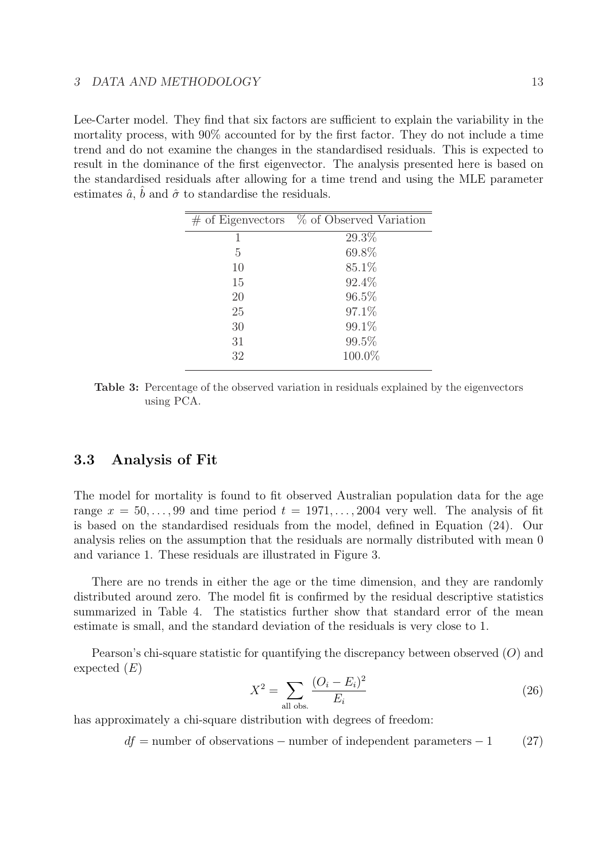Lee-Carter model. They find that six factors are sufficient to explain the variability in the mortality process, with 90% accounted for by the first factor. They do not include a time trend and do not examine the changes in the standardised residuals. This is expected to result in the dominance of the first eigenvector. The analysis presented here is based on the standardised residuals after allowing for a time trend and using the MLE parameter estimates  $\hat{a}$ ,  $\hat{b}$  and  $\hat{\sigma}$  to standardise the residuals.

|    | $\#$ of Eigenvectors $\%$ of Observed Variation |
|----|-------------------------------------------------|
| 1  | 29.3%                                           |
| 5  | 69.8%                                           |
| 10 | $85.1\%$                                        |
| 15 | 92.4%                                           |
| 20 | 96.5%                                           |
| 25 | 97.1%                                           |
| 30 | 99.1%                                           |
| 31 | 99.5%                                           |
| 32 | 100.0%                                          |
|    |                                                 |

Table 3: Percentage of the observed variation in residuals explained by the eigenvectors using PCA.

### 3.3 Analysis of Fit

The model for mortality is found to fit observed Australian population data for the age range  $x = 50, \ldots, 99$  and time period  $t = 1971, \ldots, 2004$  very well. The analysis of fit is based on the standardised residuals from the model, defined in Equation (24). Our analysis relies on the assumption that the residuals are normally distributed with mean 0 and variance 1. These residuals are illustrated in Figure 3.

There are no trends in either the age or the time dimension, and they are randomly distributed around zero. The model fit is confirmed by the residual descriptive statistics summarized in Table 4. The statistics further show that standard error of the mean estimate is small, and the standard deviation of the residuals is very close to 1.

Pearson's chi-square statistic for quantifying the discrepancy between observed  $(O)$  and expected  $(E)$ 

$$
X^{2} = \sum_{\text{all obs.}} \frac{(O_{i} - E_{i})^{2}}{E_{i}}
$$
 (26)

has approximately a chi-square distribution with degrees of freedom:

 $df =$  number of observations – number of independent parameters – 1 (27)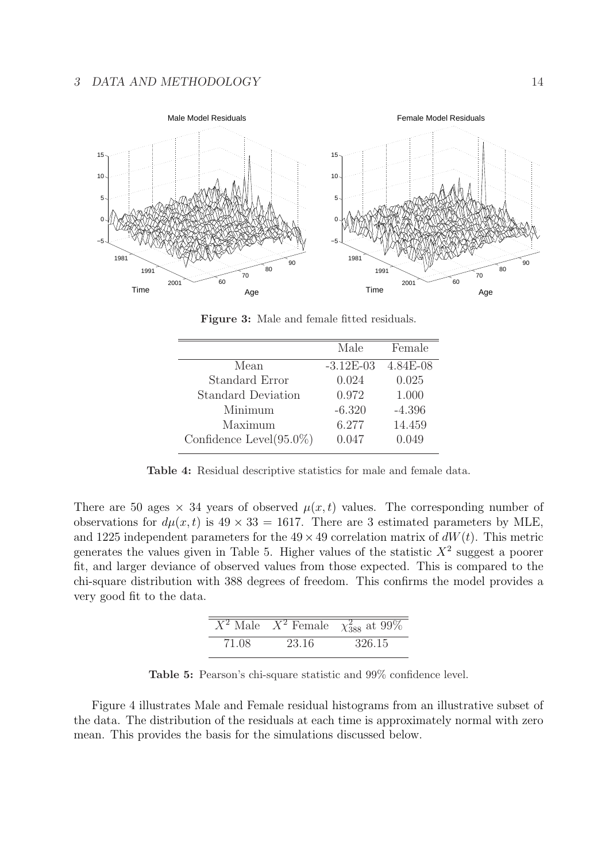

Figure 3: Male and female fitted residuals.

|                             | Male        | Female     |
|-----------------------------|-------------|------------|
| Mean                        | $-3.12E-03$ | $4.84E-08$ |
| Standard Error              | 0.024       | 0.025      |
| Standard Deviation          | 0.972       | 1.000      |
| Minimum                     | $-6.320$    | $-4.396$   |
| Maximum                     | 6.277       | 14.459     |
| Confidence Level $(95.0\%)$ | 0.047       | 0.049      |
|                             |             |            |

Table 4: Residual descriptive statistics for male and female data.

There are 50 ages  $\times$  34 years of observed  $\mu(x,t)$  values. The corresponding number of observations for  $d\mu(x, t)$  is  $49 \times 33 = 1617$ . There are 3 estimated parameters by MLE, and 1225 independent parameters for the  $49 \times 49$  correlation matrix of  $dW(t)$ . This metric generates the values given in Table 5. Higher values of the statistic  $X^2$  suggest a poorer fit, and larger deviance of observed values from those expected. This is compared to the chi-square distribution with 388 degrees of freedom. This confirms the model provides a very good fit to the data.

|       |       | $\overline{X^2}$ Male $\overline{X^2}$ Female $\chi^2_{388}$ at 99% |
|-------|-------|---------------------------------------------------------------------|
| 71.08 | 23.16 | 326.15                                                              |

Table 5: Pearson's chi-square statistic and 99% confidence level.

Figure 4 illustrates Male and Female residual histograms from an illustrative subset of the data. The distribution of the residuals at each time is approximately normal with zero mean. This provides the basis for the simulations discussed below.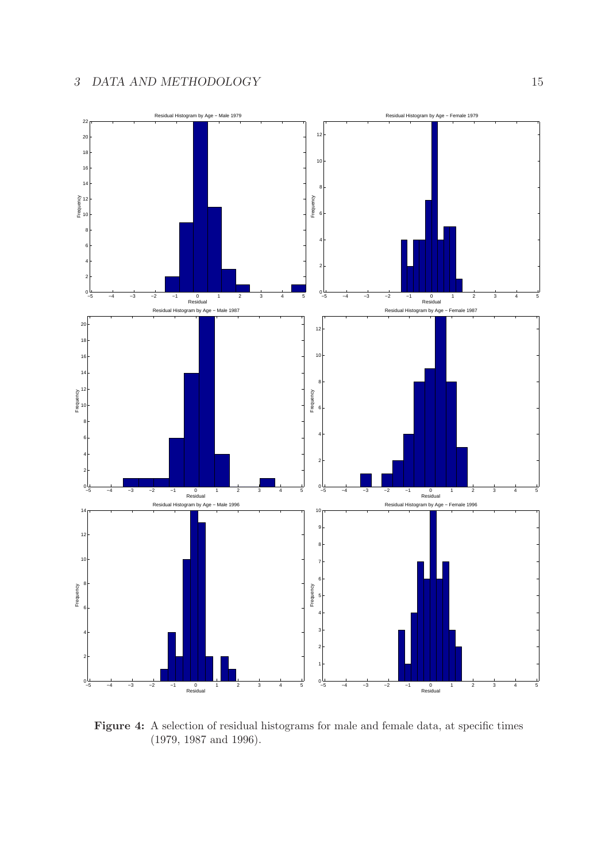

Figure 4: A selection of residual histograms for male and female data, at specific times (1979, 1987 and 1996).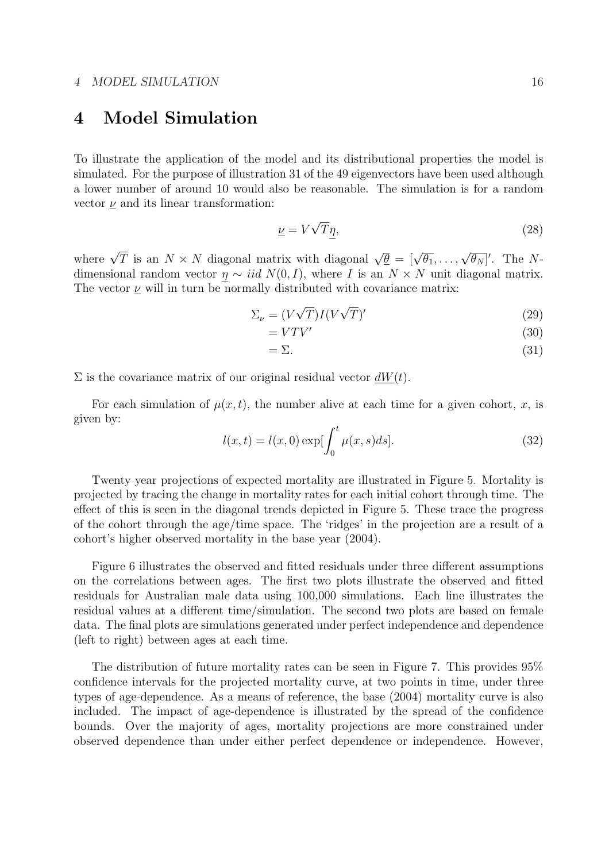# 4 Model Simulation

To illustrate the application of the model and its distributional properties the model is simulated. For the purpose of illustration 31 of the 49 eigenvectors have been used although a lower number of around 10 would also be reasonable. The simulation is for a random vector  $\nu$  and its linear transformation:

$$
\underline{\nu} = V\sqrt{T}\eta,\tag{28}
$$

where  $\sqrt{T}$  is an  $N \times N$  diagonal matrix with diagonal  $\sqrt{\theta} = [\sqrt{\theta_1}, \ldots, \sqrt{\theta_N}]'$ . The Ndimensional random vector  $\eta \sim iid N(0, I)$ , where I is an  $N \times N$  unit diagonal matrix. The vector  $\nu$  will in turn be normally distributed with covariance matrix:

$$
\Sigma_{\nu} = (V\sqrt{T})I(V\sqrt{T})' \tag{29}
$$

$$
= VTV'
$$
\n<sup>(30)</sup>

$$
=\Sigma.\tag{31}
$$

 $\Sigma$  is the covariance matrix of our original residual vector  $dW(t)$ .

For each simulation of  $\mu(x, t)$ , the number alive at each time for a given cohort, x, is given by:

$$
l(x,t) = l(x,0) \exp[\int_0^t \mu(x,s)ds].
$$
 (32)

Twenty year projections of expected mortality are illustrated in Figure 5. Mortality is projected by tracing the change in mortality rates for each initial cohort through time. The effect of this is seen in the diagonal trends depicted in Figure 5. These trace the progress of the cohort through the age/time space. The 'ridges' in the projection are a result of a cohort's higher observed mortality in the base year (2004).

Figure 6 illustrates the observed and fitted residuals under three different assumptions on the correlations between ages. The first two plots illustrate the observed and fitted residuals for Australian male data using 100,000 simulations. Each line illustrates the residual values at a different time/simulation. The second two plots are based on female data. The final plots are simulations generated under perfect independence and dependence (left to right) between ages at each time.

The distribution of future mortality rates can be seen in Figure 7. This provides 95% confidence intervals for the projected mortality curve, at two points in time, under three types of age-dependence. As a means of reference, the base (2004) mortality curve is also included. The impact of age-dependence is illustrated by the spread of the confidence bounds. Over the majority of ages, mortality projections are more constrained under observed dependence than under either perfect dependence or independence. However,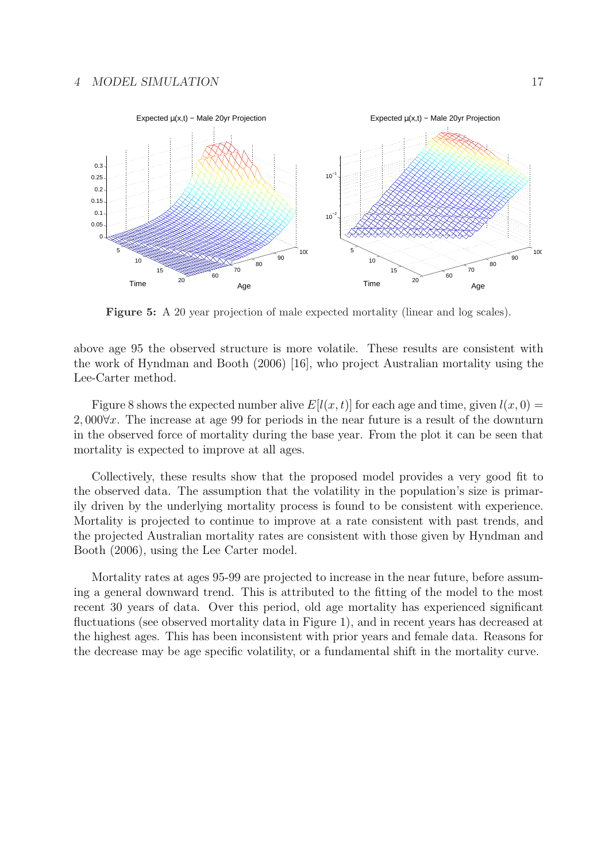#### 4 MODEL SIMULATION 17



Figure 5: A 20 year projection of male expected mortality (linear and log scales).

above age 95 the observed structure is more volatile. These results are consistent with the work of Hyndman and Booth (2006) [16], who project Australian mortality using the Lee-Carter method.

Figure 8 shows the expected number alive  $E[l(x, t)]$  for each age and time, given  $l(x, 0) =$ 2, 000∀x. The increase at age 99 for periods in the near future is a result of the downturn in the observed force of mortality during the base year. From the plot it can be seen that mortality is expected to improve at all ages.

Collectively, these results show that the proposed model provides a very good fit to the observed data. The assumption that the volatility in the population's size is primarily driven by the underlying mortality process is found to be consistent with experience. Mortality is projected to continue to improve at a rate consistent with past trends, and the projected Australian mortality rates are consistent with those given by Hyndman and Booth (2006), using the Lee Carter model.

Mortality rates at ages 95-99 are projected to increase in the near future, before assuming a general downward trend. This is attributed to the fitting of the model to the most recent 30 years of data. Over this period, old age mortality has experienced significant fluctuations (see observed mortality data in Figure 1), and in recent years has decreased at the highest ages. This has been inconsistent with prior years and female data. Reasons for the decrease may be age specific volatility, or a fundamental shift in the mortality curve.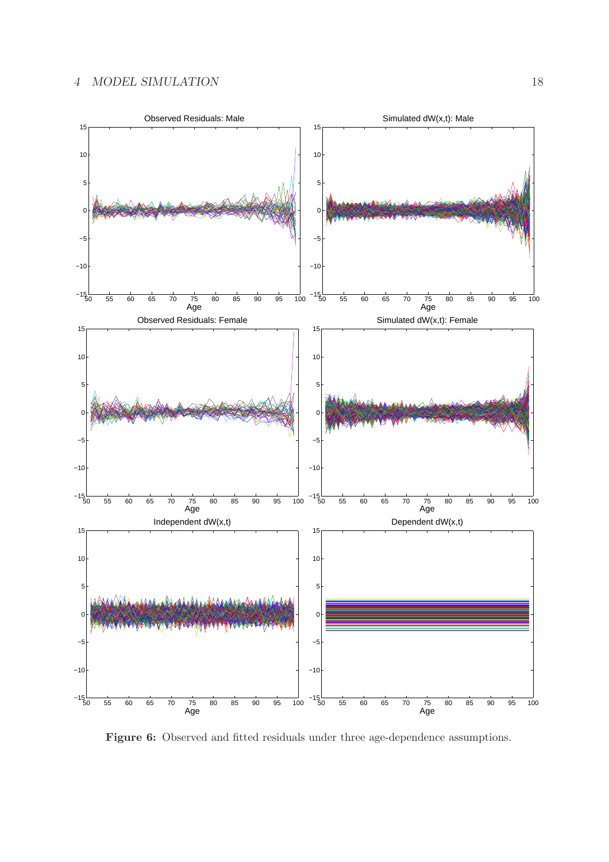

Figure 6: Observed and fitted residuals under three age-dependence assumptions.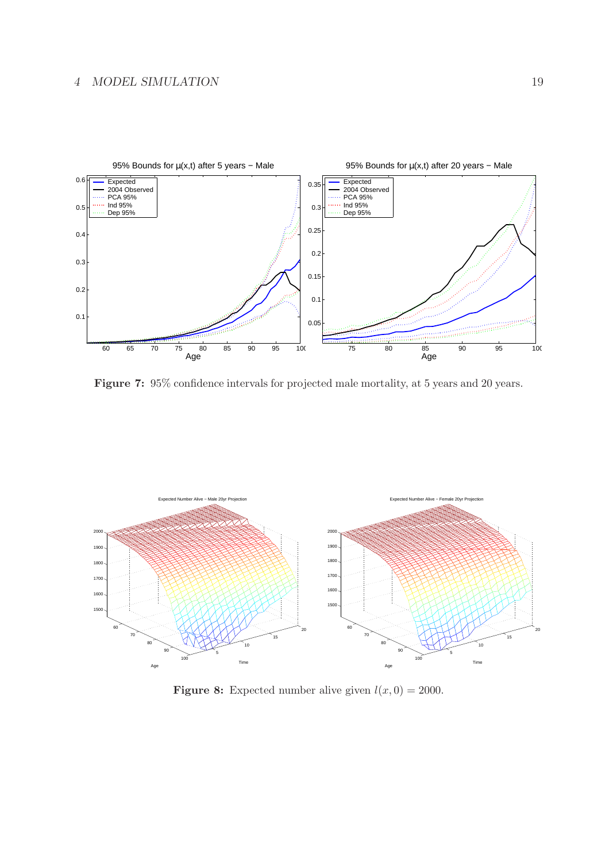### 4 MODEL SIMULATION 19



Figure 7: 95% confidence intervals for projected male mortality, at 5 years and 20 years.



**Figure 8:** Expected number alive given  $l(x, 0) = 2000$ .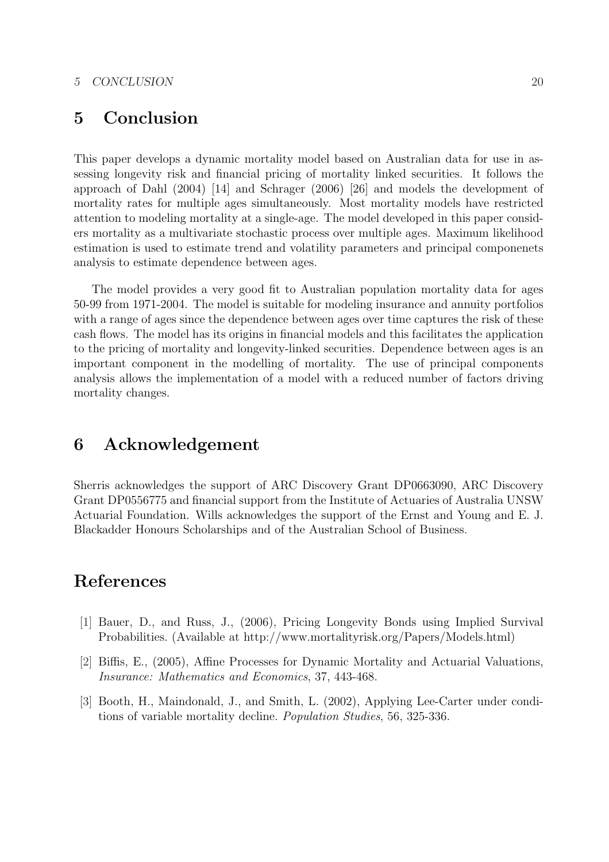# 5 Conclusion

This paper develops a dynamic mortality model based on Australian data for use in assessing longevity risk and financial pricing of mortality linked securities. It follows the approach of Dahl (2004) [14] and Schrager (2006) [26] and models the development of mortality rates for multiple ages simultaneously. Most mortality models have restricted attention to modeling mortality at a single-age. The model developed in this paper considers mortality as a multivariate stochastic process over multiple ages. Maximum likelihood estimation is used to estimate trend and volatility parameters and principal componenets analysis to estimate dependence between ages.

The model provides a very good fit to Australian population mortality data for ages 50-99 from 1971-2004. The model is suitable for modeling insurance and annuity portfolios with a range of ages since the dependence between ages over time captures the risk of these cash flows. The model has its origins in financial models and this facilitates the application to the pricing of mortality and longevity-linked securities. Dependence between ages is an important component in the modelling of mortality. The use of principal components analysis allows the implementation of a model with a reduced number of factors driving mortality changes.

# 6 Acknowledgement

Sherris acknowledges the support of ARC Discovery Grant DP0663090, ARC Discovery Grant DP0556775 and financial support from the Institute of Actuaries of Australia UNSW Actuarial Foundation. Wills acknowledges the support of the Ernst and Young and E. J. Blackadder Honours Scholarships and of the Australian School of Business.

# References

- [1] Bauer, D., and Russ, J., (2006), Pricing Longevity Bonds using Implied Survival Probabilities. (Available at http://www.mortalityrisk.org/Papers/Models.html)
- [2] Biffis, E., (2005), Affine Processes for Dynamic Mortality and Actuarial Valuations, Insurance: Mathematics and Economics, 37, 443-468.
- [3] Booth, H., Maindonald, J., and Smith, L. (2002), Applying Lee-Carter under conditions of variable mortality decline. Population Studies, 56, 325-336.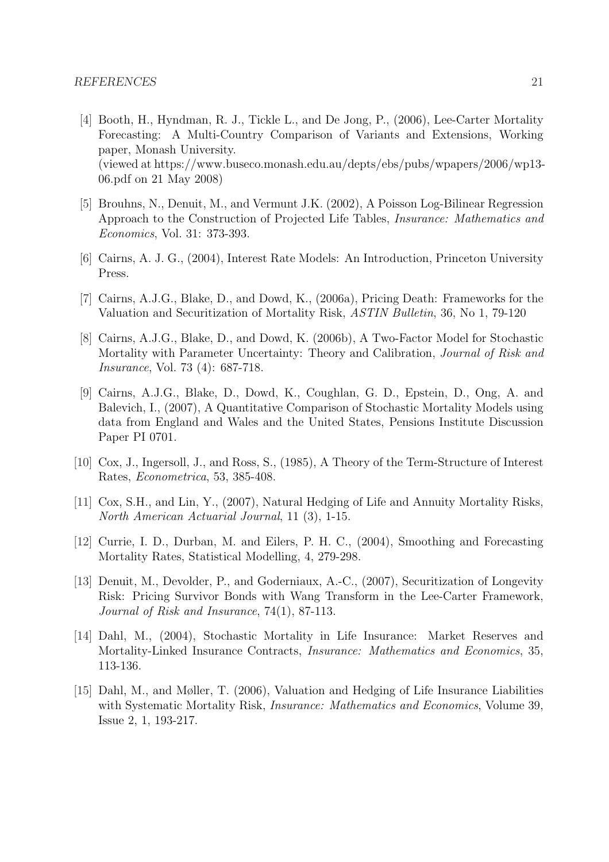- [4] Booth, H., Hyndman, R. J., Tickle L., and De Jong, P., (2006), Lee-Carter Mortality Forecasting: A Multi-Country Comparison of Variants and Extensions, Working paper, Monash University. (viewed at https://www.buseco.monash.edu.au/depts/ebs/pubs/wpapers/2006/wp13- 06.pdf on 21 May 2008)
- [5] Brouhns, N., Denuit, M., and Vermunt J.K. (2002), A Poisson Log-Bilinear Regression Approach to the Construction of Projected Life Tables, Insurance: Mathematics and Economics, Vol. 31: 373-393.
- [6] Cairns, A. J. G., (2004), Interest Rate Models: An Introduction, Princeton University Press.
- [7] Cairns, A.J.G., Blake, D., and Dowd, K., (2006a), Pricing Death: Frameworks for the Valuation and Securitization of Mortality Risk, ASTIN Bulletin, 36, No 1, 79-120
- [8] Cairns, A.J.G., Blake, D., and Dowd, K. (2006b), A Two-Factor Model for Stochastic Mortality with Parameter Uncertainty: Theory and Calibration, Journal of Risk and Insurance, Vol. 73 (4): 687-718.
- [9] Cairns, A.J.G., Blake, D., Dowd, K., Coughlan, G. D., Epstein, D., Ong, A. and Balevich, I., (2007), A Quantitative Comparison of Stochastic Mortality Models using data from England and Wales and the United States, Pensions Institute Discussion Paper PI 0701.
- [10] Cox, J., Ingersoll, J., and Ross, S., (1985), A Theory of the Term-Structure of Interest Rates, Econometrica, 53, 385-408.
- [11] Cox, S.H., and Lin, Y., (2007), Natural Hedging of Life and Annuity Mortality Risks, North American Actuarial Journal, 11 (3), 1-15.
- [12] Currie, I. D., Durban, M. and Eilers, P. H. C., (2004), Smoothing and Forecasting Mortality Rates, Statistical Modelling, 4, 279-298.
- [13] Denuit, M., Devolder, P., and Goderniaux, A.-C., (2007), Securitization of Longevity Risk: Pricing Survivor Bonds with Wang Transform in the Lee-Carter Framework, Journal of Risk and Insurance, 74(1), 87-113.
- [14] Dahl, M., (2004), Stochastic Mortality in Life Insurance: Market Reserves and Mortality-Linked Insurance Contracts, Insurance: Mathematics and Economics, 35, 113-136.
- [15] Dahl, M., and Møller, T. (2006), Valuation and Hedging of Life Insurance Liabilities with Systematic Mortality Risk, *Insurance: Mathematics and Economics*, Volume 39, Issue 2, 1, 193-217.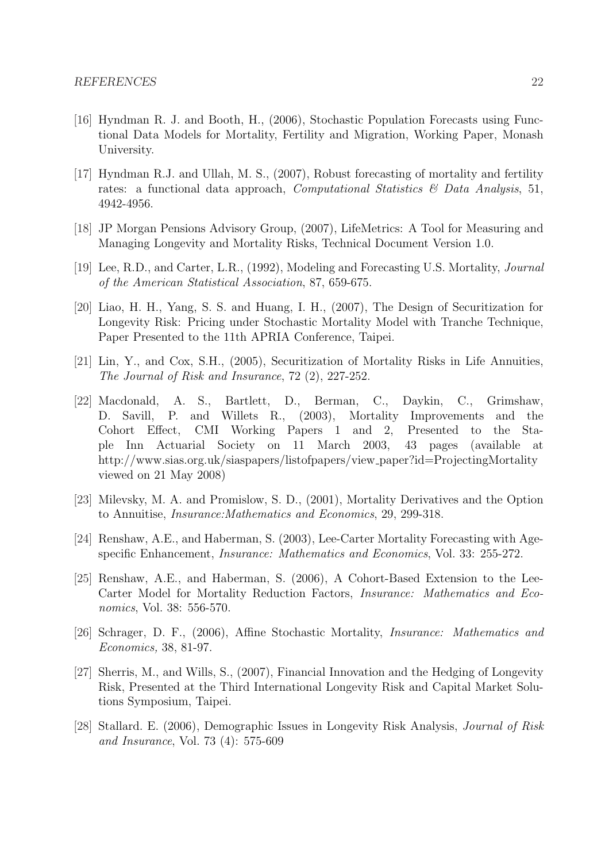- [16] Hyndman R. J. and Booth, H., (2006), Stochastic Population Forecasts using Functional Data Models for Mortality, Fertility and Migration, Working Paper, Monash University.
- [17] Hyndman R.J. and Ullah, M. S., (2007), Robust forecasting of mortality and fertility rates: a functional data approach, *Computational Statistics*  $\mathcal{C}$  *Data Analysis*, 51, 4942-4956.
- [18] JP Morgan Pensions Advisory Group, (2007), LifeMetrics: A Tool for Measuring and Managing Longevity and Mortality Risks, Technical Document Version 1.0.
- [19] Lee, R.D., and Carter, L.R., (1992), Modeling and Forecasting U.S. Mortality, Journal of the American Statistical Association, 87, 659-675.
- [20] Liao, H. H., Yang, S. S. and Huang, I. H., (2007), The Design of Securitization for Longevity Risk: Pricing under Stochastic Mortality Model with Tranche Technique, Paper Presented to the 11th APRIA Conference, Taipei.
- [21] Lin, Y., and Cox, S.H., (2005), Securitization of Mortality Risks in Life Annuities, The Journal of Risk and Insurance, 72 (2), 227-252.
- [22] Macdonald, A. S., Bartlett, D., Berman, C., Daykin, C., Grimshaw, D. Savill, P. and Willets R., (2003), Mortality Improvements and the Cohort Effect, CMI Working Papers 1 and 2, Presented to the Staple Inn Actuarial Society on 11 March 2003, 43 pages (available at http://www.sias.org.uk/siaspapers/listofpapers/view\_paper?id=ProjectingMortality viewed on 21 May 2008)
- [23] Milevsky, M. A. and Promislow, S. D., (2001), Mortality Derivatives and the Option to Annuitise, Insurance:Mathematics and Economics, 29, 299-318.
- [24] Renshaw, A.E., and Haberman, S. (2003), Lee-Carter Mortality Forecasting with Agespecific Enhancement, Insurance: Mathematics and Economics, Vol. 33: 255-272.
- [25] Renshaw, A.E., and Haberman, S. (2006), A Cohort-Based Extension to the Lee-Carter Model for Mortality Reduction Factors, Insurance: Mathematics and Economics, Vol. 38: 556-570.
- [26] Schrager, D. F., (2006), Affine Stochastic Mortality, Insurance: Mathematics and Economics, 38, 81-97.
- [27] Sherris, M., and Wills, S., (2007), Financial Innovation and the Hedging of Longevity Risk, Presented at the Third International Longevity Risk and Capital Market Solutions Symposium, Taipei.
- [28] Stallard. E. (2006), Demographic Issues in Longevity Risk Analysis, Journal of Risk and Insurance, Vol. 73 (4): 575-609